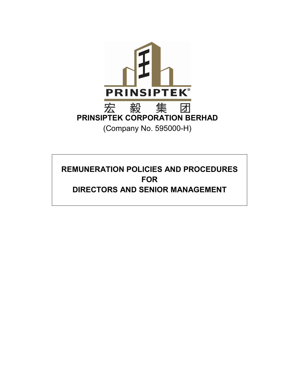

# **REMUNERATION POLICIES AND PROCEDURES DIRECTORS AND SENIOR MANAGEMENT FOR**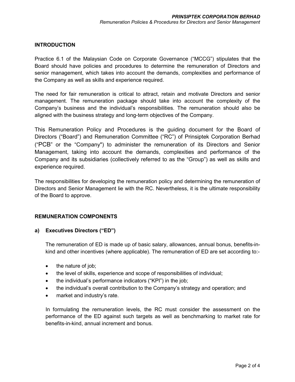## **INTRODUCTION**

Practice 6.1 of the Malaysian Code on Corporate Governance ("MCCG") stipulates that the Board should have policies and procedures to determine the remuneration of Directors and senior management, which takes into account the demands, complexities and performance of the Company as well as skills and experience required.

The need for fair remuneration is critical to attract, retain and motivate Directors and senior management. The remuneration package should take into account the complexity of the Company's business and the individual's responsibilities. The remuneration should also be aligned with the business strategy and long-term objectives of the Company.

This Remuneration Policy and Procedures is the guiding document for the Board of Directors ("Board") and Remuneration Committee ("RC") of Prinsiptek Corporation Berhad ("PCB" or the "Company") to administer the remuneration of its Directors and Senior Management, taking into account the demands, complexities and performance of the Company and its subsidiaries (collectively referred to as the "Group") as well as skills and experience required.

The responsibilities for developing the remuneration policy and determining the remuneration of Directors and Senior Management lie with the RC. Nevertheless, it is the ultimate responsibility of the Board to approve.

## **REMUNERATION COMPONENTS**

## **a) Executives Directors ("ED")**

The remuneration of ED is made up of basic salary, allowances, annual bonus, benefits-inkind and other incentives (where applicable). The remuneration of ED are set according to:-

- the nature of job;
- the level of skills, experience and scope of responsibilities of individual;
- the individual's performance indicators ("KPI") in the job;
- the individual's overall contribution to the Company's strategy and operation; and
- market and industry's rate.

In formulating the remuneration levels, the RC must consider the assessment on the performance of the ED against such targets as well as benchmarking to market rate for benefits-in-kind, annual increment and bonus.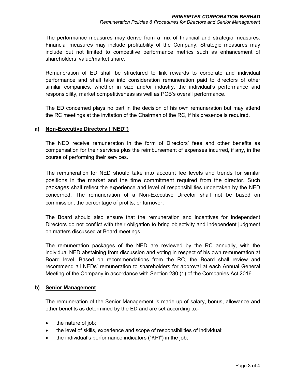The performance measures may derive from a mix of financial and strategic measures. Financial measures may include profitability of the Company. Strategic measures may include but not limited to competitive performance metrics such as enhancement of shareholders' value/market share.

Remuneration of ED shall be structured to link rewards to corporate and individual performance and shall take into consideration remuneration paid to directors of other similar companies, whether in size and/or industry, the individual's performance and responsibility, market competitiveness as well as PCB's overall performance.

The ED concerned plays no part in the decision of his own remuneration but may attend the RC meetings at the invitation of the Chairman of the RC, if his presence is required.

## **a) Non-Executive Directors ("NED")**

The NED receive remuneration in the form of Directors' fees and other benefits as compensation for their services plus the reimbursement of expenses incurred, if any, in the course of performing their services.

The remuneration for NED should take into account fee levels and trends for similar positions in the market and the time commitment required from the director. Such packages shall reflect the experience and level of responsibilities undertaken by the NED concerned. The remuneration of a Non-Executive Director shall not be based on commission, the percentage of profits, or turnover.

The Board should also ensure that the remuneration and incentives for Independent Directors do not conflict with their obligation to bring objectivity and independent judgment on matters discussed at Board meetings.

The remuneration packages of the NED are reviewed by the RC annually, with the individual NED abstaining from discussion and voting in respect of his own remuneration at Board level. Based on recommendations from the RC, the Board shall review and recommend all NEDs' remuneration to shareholders for approval at each Annual General Meeting of the Company in accordance with Section 230 (1) of the Companies Act 2016.

## **b) Senior Management**

The remuneration of the Senior Management is made up of salary, bonus, allowance and other benefits as determined by the ED and are set according to:-

- the nature of job;
- the level of skills, experience and scope of responsibilities of individual;
- the individual's performance indicators ("KPI") in the job;